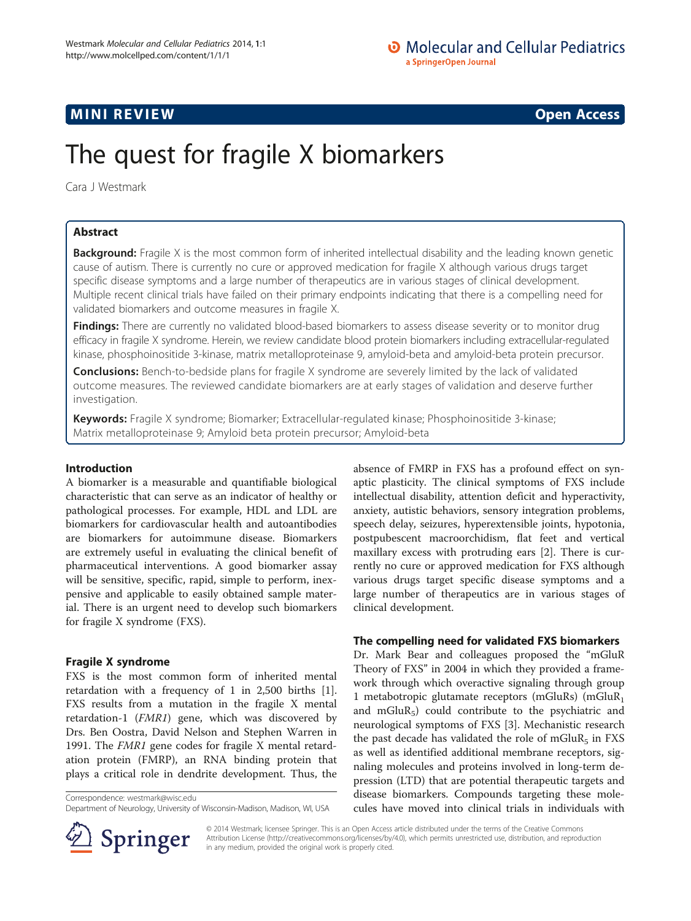# **MINI REVIEW CONTROL**

# The quest for fragile X biomarkers

Cara J Westmark

# Abstract

Background: Fragile X is the most common form of inherited intellectual disability and the leading known genetic cause of autism. There is currently no cure or approved medication for fragile X although various drugs target specific disease symptoms and a large number of therapeutics are in various stages of clinical development. Multiple recent clinical trials have failed on their primary endpoints indicating that there is a compelling need for validated biomarkers and outcome measures in fragile X.

Findings: There are currently no validated blood-based biomarkers to assess disease severity or to monitor drug efficacy in fragile X syndrome. Herein, we review candidate blood protein biomarkers including extracellular-regulated kinase, phosphoinositide 3-kinase, matrix metalloproteinase 9, amyloid-beta and amyloid-beta protein precursor.

**Conclusions:** Bench-to-bedside plans for fragile X syndrome are severely limited by the lack of validated outcome measures. The reviewed candidate biomarkers are at early stages of validation and deserve further investigation.

Keywords: Fragile X syndrome; Biomarker; Extracellular-regulated kinase; Phosphoinositide 3-kinase; Matrix metalloproteinase 9; Amyloid beta protein precursor; Amyloid-beta

# Introduction

A biomarker is a measurable and quantifiable biological characteristic that can serve as an indicator of healthy or pathological processes. For example, HDL and LDL are biomarkers for cardiovascular health and autoantibodies are biomarkers for autoimmune disease. Biomarkers are extremely useful in evaluating the clinical benefit of pharmaceutical interventions. A good biomarker assay will be sensitive, specific, rapid, simple to perform, inexpensive and applicable to easily obtained sample material. There is an urgent need to develop such biomarkers for fragile X syndrome (FXS).

# Fragile X syndrome

FXS is the most common form of inherited mental retardation with a frequency of 1 in 2,500 births [\[1](#page-3-0)]. FXS results from a mutation in the fragile X mental retardation-1 (FMR1) gene, which was discovered by Drs. Ben Oostra, David Nelson and Stephen Warren in 1991. The FMR1 gene codes for fragile X mental retardation protein (FMRP), an RNA binding protein that plays a critical role in dendrite development. Thus, the

Correspondence: [westmark@wisc.edu](mailto:westmark@wisc.edu)

Department of Neurology, University of Wisconsin-Madison, Madison, WI, USA



absence of FMRP in FXS has a profound effect on synaptic plasticity. The clinical symptoms of FXS include intellectual disability, attention deficit and hyperactivity, anxiety, autistic behaviors, sensory integration problems, speech delay, seizures, hyperextensible joints, hypotonia, postpubescent macroorchidism, flat feet and vertical maxillary excess with protruding ears [\[2\]](#page-3-0). There is currently no cure or approved medication for FXS although various drugs target specific disease symptoms and a large number of therapeutics are in various stages of clinical development.

# The compelling need for validated FXS biomarkers

Dr. Mark Bear and colleagues proposed the "mGluR Theory of FXS" in 2004 in which they provided a framework through which overactive signaling through group 1 metabotropic glutamate receptors (mGluRs) (mGluR1 and mGlu $R_5$ ) could contribute to the psychiatric and neurological symptoms of FXS [\[3\]](#page-3-0). Mechanistic research the past decade has validated the role of mGlu $R_5$  in FXS as well as identified additional membrane receptors, signaling molecules and proteins involved in long-term depression (LTD) that are potential therapeutic targets and disease biomarkers. Compounds targeting these molecules have moved into clinical trials in individuals with

© 2014 Westmark; licensee Springer. This is an Open Access article distributed under the terms of the Creative Commons Attribution License [\(http://creativecommons.org/licenses/by/4.0\)](http://creativecommons.org/licenses/by/4.0), which permits unrestricted use, distribution, and reproduction in any medium, provided the original work is properly cited.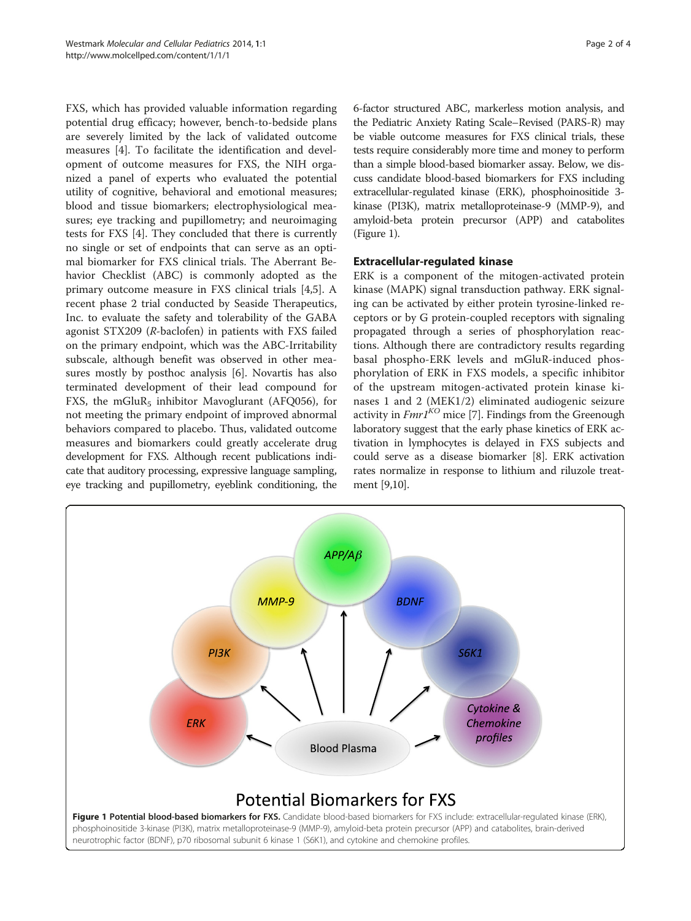FXS, which has provided valuable information regarding potential drug efficacy; however, bench-to-bedside plans are severely limited by the lack of validated outcome measures [\[4](#page-3-0)]. To facilitate the identification and development of outcome measures for FXS, the NIH organized a panel of experts who evaluated the potential utility of cognitive, behavioral and emotional measures; blood and tissue biomarkers; electrophysiological measures; eye tracking and pupillometry; and neuroimaging tests for FXS [[4\]](#page-3-0). They concluded that there is currently no single or set of endpoints that can serve as an optimal biomarker for FXS clinical trials. The Aberrant Behavior Checklist (ABC) is commonly adopted as the primary outcome measure in FXS clinical trials [\[4](#page-3-0),[5](#page-3-0)]. A recent phase 2 trial conducted by Seaside Therapeutics, Inc. to evaluate the safety and tolerability of the GABA agonist STX209 (R-baclofen) in patients with FXS failed on the primary endpoint, which was the ABC-Irritability subscale, although benefit was observed in other measures mostly by posthoc analysis [[6\]](#page-3-0). Novartis has also terminated development of their lead compound for FXS, the mGluR<sub>5</sub> inhibitor Mavoglurant (AFQ056), for not meeting the primary endpoint of improved abnormal behaviors compared to placebo. Thus, validated outcome measures and biomarkers could greatly accelerate drug development for FXS. Although recent publications indicate that auditory processing, expressive language sampling, eye tracking and pupillometry, eyeblink conditioning, the

6-factor structured ABC, markerless motion analysis, and the Pediatric Anxiety Rating Scale–Revised (PARS-R) may be viable outcome measures for FXS clinical trials, these tests require considerably more time and money to perform than a simple blood-based biomarker assay. Below, we discuss candidate blood-based biomarkers for FXS including extracellular-regulated kinase (ERK), phosphoinositide 3 kinase (PI3K), matrix metalloproteinase-9 (MMP-9), and amyloid-beta protein precursor (APP) and catabolites (Figure 1).

# Extracellular-regulated kinase

ERK is a component of the mitogen-activated protein kinase (MAPK) signal transduction pathway. ERK signaling can be activated by either protein tyrosine-linked receptors or by G protein-coupled receptors with signaling propagated through a series of phosphorylation reactions. Although there are contradictory results regarding basal phospho-ERK levels and mGluR-induced phosphorylation of ERK in FXS models, a specific inhibitor of the upstream mitogen-activated protein kinase kinases 1 and 2 (MEK1/2) eliminated audiogenic seizure activity in  $FmrI^{KO}$  mice [[7\]](#page-3-0). Findings from the Greenough laboratory suggest that the early phase kinetics of ERK activation in lymphocytes is delayed in FXS subjects and could serve as a disease biomarker [\[8\]](#page-3-0). ERK activation rates normalize in response to lithium and riluzole treatment [\[9,10\]](#page-3-0).

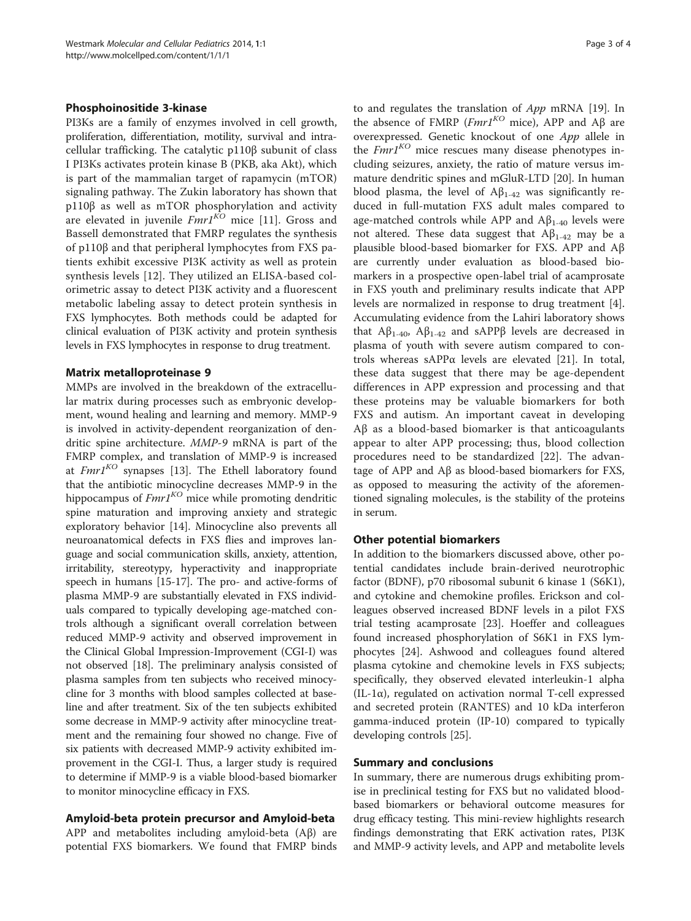## Phosphoinositide 3-kinase

PI3Ks are a family of enzymes involved in cell growth, proliferation, differentiation, motility, survival and intracellular trafficking. The catalytic p110β subunit of class I PI3Ks activates protein kinase B (PKB, aka Akt), which is part of the mammalian target of rapamycin (mTOR) signaling pathway. The Zukin laboratory has shown that p110β as well as mTOR phosphorylation and activity are elevated in juvenile  $FmrI^{\overline{KO}}$  mice [[11\]](#page-3-0). Gross and Bassell demonstrated that FMRP regulates the synthesis of p110β and that peripheral lymphocytes from FXS patients exhibit excessive PI3K activity as well as protein synthesis levels [[12\]](#page-3-0). They utilized an ELISA-based colorimetric assay to detect PI3K activity and a fluorescent metabolic labeling assay to detect protein synthesis in FXS lymphocytes. Both methods could be adapted for clinical evaluation of PI3K activity and protein synthesis levels in FXS lymphocytes in response to drug treatment.

## Matrix metalloproteinase 9

MMPs are involved in the breakdown of the extracellular matrix during processes such as embryonic development, wound healing and learning and memory. MMP-9 is involved in activity-dependent reorganization of dendritic spine architecture. MMP-9 mRNA is part of the FMRP complex, and translation of MMP-9 is increased at  $FmrI^{KO}$  synapses [[13\]](#page-3-0). The Ethell laboratory found that the antibiotic minocycline decreases MMP-9 in the hippocampus of  $FmrI^{KO}$  mice while promoting dendritic spine maturation and improving anxiety and strategic exploratory behavior [\[14\]](#page-3-0). Minocycline also prevents all neuroanatomical defects in FXS flies and improves language and social communication skills, anxiety, attention, irritability, stereotypy, hyperactivity and inappropriate speech in humans [\[15-17\]](#page-3-0). The pro- and active-forms of plasma MMP-9 are substantially elevated in FXS individuals compared to typically developing age-matched controls although a significant overall correlation between reduced MMP-9 activity and observed improvement in the Clinical Global Impression-Improvement (CGI-I) was not observed [\[18\]](#page-3-0). The preliminary analysis consisted of plasma samples from ten subjects who received minocycline for 3 months with blood samples collected at baseline and after treatment. Six of the ten subjects exhibited some decrease in MMP-9 activity after minocycline treatment and the remaining four showed no change. Five of six patients with decreased MMP-9 activity exhibited improvement in the CGI-I. Thus, a larger study is required to determine if MMP-9 is a viable blood-based biomarker to monitor minocycline efficacy in FXS.

## Amyloid-beta protein precursor and Amyloid-beta

APP and metabolites including amyloid-beta (Aβ) are potential FXS biomarkers. We found that FMRP binds

to and regulates the translation of App mRNA [[19](#page-3-0)]. In the absence of FMRP (Fmr1<sup>KO</sup> mice), APP and Aβ are overexpressed. Genetic knockout of one App allele in the  $Fmr1^{KO}$  mice rescues many disease phenotypes including seizures, anxiety, the ratio of mature versus immature dendritic spines and mGluR-LTD [\[20\]](#page-3-0). In human blood plasma, the level of  $A\beta_{1-42}$  was significantly reduced in full-mutation FXS adult males compared to age-matched controls while APP and  $A\beta_{1-40}$  levels were not altered. These data suggest that  $Aβ<sub>1-42</sub>$  may be a plausible blood-based biomarker for FXS. APP and Aβ are currently under evaluation as blood-based biomarkers in a prospective open-label trial of acamprosate in FXS youth and preliminary results indicate that APP levels are normalized in response to drug treatment [\[4](#page-3-0)]. Accumulating evidence from the Lahiri laboratory shows that  $A\beta_{1-40}$ ,  $A\beta_{1-42}$  and sAPPβ levels are decreased in plasma of youth with severe autism compared to controls whereas sAPPα levels are elevated [[21\]](#page-3-0). In total, these data suggest that there may be age-dependent differences in APP expression and processing and that these proteins may be valuable biomarkers for both FXS and autism. An important caveat in developing Aβ as a blood-based biomarker is that anticoagulants appear to alter APP processing; thus, blood collection procedures need to be standardized [[22\]](#page-3-0). The advantage of APP and Aβ as blood-based biomarkers for FXS, as opposed to measuring the activity of the aforementioned signaling molecules, is the stability of the proteins in serum.

## Other potential biomarkers

In addition to the biomarkers discussed above, other potential candidates include brain-derived neurotrophic factor (BDNF), p70 ribosomal subunit 6 kinase 1 (S6K1), and cytokine and chemokine profiles. Erickson and colleagues observed increased BDNF levels in a pilot FXS trial testing acamprosate [\[23](#page-3-0)]. Hoeffer and colleagues found increased phosphorylation of S6K1 in FXS lymphocytes [\[24\]](#page-3-0). Ashwood and colleagues found altered plasma cytokine and chemokine levels in FXS subjects; specifically, they observed elevated interleukin-1 alpha (IL-1 $\alpha$ ), regulated on activation normal T-cell expressed and secreted protein (RANTES) and 10 kDa interferon gamma-induced protein (IP-10) compared to typically developing controls [\[25\]](#page-3-0).

## Summary and conclusions

In summary, there are numerous drugs exhibiting promise in preclinical testing for FXS but no validated bloodbased biomarkers or behavioral outcome measures for drug efficacy testing. This mini-review highlights research findings demonstrating that ERK activation rates, PI3K and MMP-9 activity levels, and APP and metabolite levels